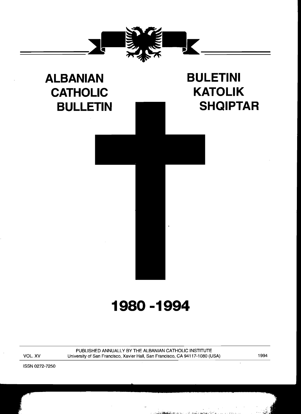

# **ALBANIAN BULETINI**  CATHOLIC **KATOLIK**

# BULLETIN **NUMBER SHQIPTAR**

# **1980-1994**

PUBLISHED ANNUALLY BY THE ALBANIAN CATHOLIC INSTITUTE VOL. XV University of San Francisco, Xavier Hall, San Francisco, CA 94117-1080 (USA) 1994

ISSN 0272-7250

 $\ddot{\phantom{1}}$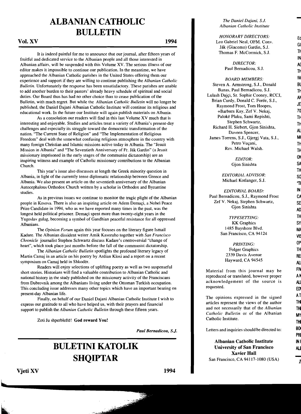## **ALBANIAN CATHOLIC BULLETIN**

#### Vol. XV 1994

It is indeed painful for me to announce that our journal, after fifteen years of fruitful and dedicated service to the Albanian people and all those interested in Albanian affairs, will be suspended with this Volume XV. The serious illness of our editor makes it impossible to continue our publication. In the meantime, we have approached the Albanian Catholic parishes in the United States offering them our experience and support if they are willing to continue publishing the *Albanian Catholic Bulletin.* Unfortunately the response has been unsatisfactory. These parishes are unable to add another burden to their pastors' already heavy schedule of spiritual and social duties. Our Board thus has had no other choice than to cease publication of the Bulletin, with much regret. But while the *Albanian Catholic Bulletin* will no longer be published, the Daniel Dajani Albanian Catholic Institute will continue its religious and educational work. In the future our Institute will again publish materials on Albania.

As a consolation our readers will find in this last Volume XV much that is interesting and enjoyable. Studies and articles treat a variety of Albania's present-day challenges and especially its struggle toward the democratic transformation of the nation. "The Current State of Religion" and "The Implementation of Religious Freedom" deal with the somewhat confusing religious atmosphere in the country with many foreign Christian and Islamic missions active today in Albania. The "Jesuit Mission in Albania" and "The Seventieth Anniversary of Fr. Ják Gardin" (a Jesuit missionary imprisoned in the early stages of the communist dictatorship) are an inspiring witness and example of Catholic missionary contributions to the Albanian Church.

This year's issue also discusses at length the Greek minority question in Albania, in light of the currently tense diplomatic relationship between Greece and Albania. We also present an article on the seventieth anniversary of the Albanian Autocephalous Orthodox Church written by a scholar in Orthodox and Byzantine studies.

As in previous issues we continue to monitor the tragic plight of the Albanian people in Kosova. There is also an inspiring article on Adem Demaci, a Nobel Peace Prize Candidate in 1994, who as we have reported many times in the past, was the longest held political prisoner. Demaci spent more than twenty-eight years in the Yugoslav gulag, becoming a symbol of Gandhian peaceful resistance for all oppressed Albanians.

The *Opinion Forum* again this year focuses on the literary figure Ismail Kadare. The Albanian dissident writer Amik Kasoruho together with *San Francisco Chronicle* journalist Stephen Schwartz discuss Kadare's controversial "change of heart", which took place just months before the fall of the communist dictatorship.

The *Albanian Catholic Bulletin* spotlights the profound literary legacy of Martin Camaj in an article on his poetry by Ardian Klosi and a report on a recent symposium on Camaj held in Shkoder.

Readers will enjoy selections of uplifting poetry as well as two suspenseful short stories. Historians will find a valuable contribution to Albanian Catholic and national history in the study published on the missionary activity of the Franciscans from Dubrovnik among the Albanians living under the Ottoman Turkish occupation. This concluding issue addresses many other topics which have an important bearing on present-day Albanian life.

Finally, on behalf of our Daniel Dajani Albanian Catholic Institute I wish to express our gratitude to all who have helped us, with their prayers and fmancial support to publish the *Albanian Catholic Bulletin* through these fifteen years.

Zoti Ju shperbleftë! God reward You!

*Paul Bernadicou, S.l.* 

ر<br>و<u>فري</u> ب

## **BULETINI KATOLIK SHQIPTAR**

*The Daniel Dajani,* S.J. *Albanian Catholic Institute* 

*HONORARY DIRECTORS:*<br>Leo Gabriel Neal, OFM. Conv. Leo Gabriel Neal, OFM. Conv.<br>Ják (Giacomo) Gardin, S.J. Thomas F. McCormick, S.J.

> *DIRECTOR:* A( Paul Bernadicou, S.J.

Steven A. Armstrong, S.J., Donald Bl Banas, Paul Bernadicou, S.J. *BOARD MEMBERS:*  Lulash Dajçi, Sr. Sophie Cooney, RCCJ,<br>Brian Curdy, Donald C. Forée, S.J.,<br>Reymond Frost, Tom Hoopes Raymond Frost, Tom Hoopes,<br>+ Barbara Kay Zef V Nekai 70 +Barbara Kay, Zef V. Nekaj, Paloke Plaku, Sami Repishti, Stephen Schwartz, Theory Richard H. Siebert, Gjon Sinishta,<br>Daveen Spencer, AL<br>Almes Torrens S. L. Giergi Vata S. L. MI James Torrens, S.J., Gjergj Vata, S.J., Petro Vuçani, Th Rev. Michael Walsh. The Theory

> O~ *EDITOR:*  Gjon Sinishta

*EDITORIAL ADVISOR:* SC Michael Kotlanger, S.J.

Paul Bernadicou, S.J., Raymond Frost CA Zef V. Nekaj, Stephen Schwartz, *EDITORIAL BOARD:*  Gjon Sinishta **AD** 

> KK Graphics SY 1485 Bayshore Blvd. *TYPESETTING:*  San Francisco, CA 94124

*PRINTING:* OP Folger Graphics 2339 Davis Avenue RE Hayward, CA  $94545$ 

Material from this journal may be FIV<br>reproduced or translated, however proper  $A^*$ reproduced or translated, however proper acknowledgement of the source is ALI requested. ED

The opinions expressed in the signed<br>AT articles represent the views of the author TH articles represent the views of the author and not necessarily that of the *Albanian* THl *Catholic Bulletin* or of the Albanian MY Catholic Institute.

Letters and inquiries should be directed to:  $\frac{B0}{2}$ 

Albanian Catholic Institute INI University of San Francisco AU Xavier Hall San Francisco, CA 94117-1080 (USA)

Vjeti XV 1994

na an am Th IN T~ 1M  $\mathsf{T}^{\mathsf{t}}$  TH TH IN **SE** TH M~ VIS PRI

1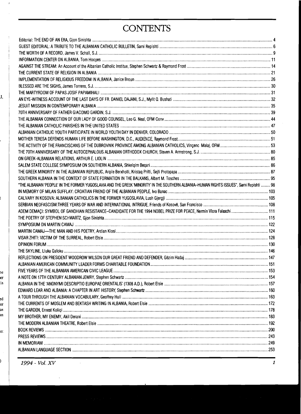# **CONTENTS**

| "THE ALBANIAN 'PEOPLE' IN THE FORMER YUGOSLAVIA AND THE GREEK 'MINORITY' IN THE SOUTHERN ALBANIA-HUMAN RIGHTS ISSUES", Sami Repishti  98 |  |
|------------------------------------------------------------------------------------------------------------------------------------------|--|
|                                                                                                                                          |  |
|                                                                                                                                          |  |
|                                                                                                                                          |  |
|                                                                                                                                          |  |
|                                                                                                                                          |  |
|                                                                                                                                          |  |
|                                                                                                                                          |  |
|                                                                                                                                          |  |
|                                                                                                                                          |  |
|                                                                                                                                          |  |
|                                                                                                                                          |  |
|                                                                                                                                          |  |
|                                                                                                                                          |  |
|                                                                                                                                          |  |
|                                                                                                                                          |  |
|                                                                                                                                          |  |
|                                                                                                                                          |  |
|                                                                                                                                          |  |
|                                                                                                                                          |  |
|                                                                                                                                          |  |
|                                                                                                                                          |  |
|                                                                                                                                          |  |
|                                                                                                                                          |  |
|                                                                                                                                          |  |
|                                                                                                                                          |  |
|                                                                                                                                          |  |

J,

,

t

 $\bar{t}$ 

Je er is

ed or In

:0:

 $\frac{1}{2}$  $\lambda$ 

10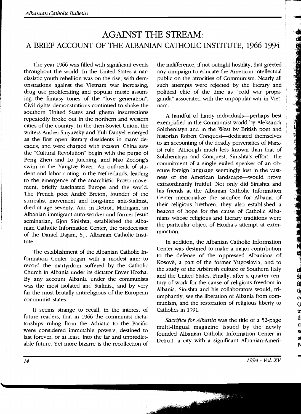## AGAINST THE STREAM: A BRIEF ACCOUNT OF THE ALBANIAN CATHOLIC INSTITUTE, 1966-1994

The year 1966 was filled with significant events throughout the world. In the United States a narcissistic youth rebellion was on the rise, with demonstrations against the Vietnam war increasing, drug use proliferating and popular music assuming the fantasy tones of the "love generation". Civil rights demonstrations continued to shake the southern United States and ghetto insurrections repeatedly broke out in the northern and western cities of the country. In the then-Soviet Union, the writers Andrei Sinyavsky and Yuli Danyel emerged as the first open literary dissidents in many decades, and were charged with treason. China saw the "Cultural Revolution" begin with the purge of Peng Zhen and Lo Juiching, and Mao Zedong's swim in the Yangtze River. An outbreak of student and labor rioting in the Netherlands, leading to the emergence of the anarchistic Provo movement, briefly fascinated Europe and the world. The French poet André Breton, founder of the surrealist movement and long-time anti-Stalinist, died at age seventy. And in Detroit, Michigan, an Albanian immigrant auto-worker and former Jesuit seminarian, Gjon Sinishta, established the Albanian Catholic Information Center, the predecessor of the Daniel Dajani, S.]. Albanian Catholic Institute.

The establishment of the Albanian Catholic Information Center began with a modest aim: to record the martyrdom suffered by the Catholic Church in Albania under its dictator Enver Hoxha. By any account Albania under the communists was the most isolated and Stalinist, and by very far the most brutally antireligious of the European communist states.

It seems strange to recall, in the interest of future readers, that in 1966 the communist dictatorships ruling from the Adriatic to the Pacific were considered immutable powers, destined to last forever, or at least, into the far and unpredictable future. Yet more bizarre is the recollection of

the indifference, if not outright hostility, that greeted any campaign to educate the American intellectual public on the atrocities of Communism. Nearly all such attempts were rejected by the literary and political elite of the time as "cold war propaganda" associated with the unpopular war in Vietnam.

r

Figure 1994

كالمناسخة وأدافاه

A handful of hardy individuals-perhaps best exemplified in the Communist world by Aleksandr Solzhenitsyn and in the West by British poet and historian Robert Conquest—dedicated themselves to an accounting of the deadly perversities of Marxist rule. Although much less known than that of Solzhenitsyn and Conquest, Sinishta's effort-the commitment of a single exiled speaker of an obscure foreign language seemingly lost in the vastness of the American landscape-would prove extraordinarily fruitful. Not only did Sinishta and his friends at the Albanian Catholic Information Center memorialize the sacrifice for Albania of their religious brethren, they also established a beacon of hope for the cause of Catholic Albanians whose religious and literary traditions were the particular object of Hoxha's attempt at extermination.

In addition, the Albanian Catholic Information Center was destined to make a major contribution to the defense of the oppressed Albanians of Kosove, a part of the former Yugoslavia, and to the study of the Arberesh culture of Southern Italy<br>and the United States. Finally, after a quarter cenand the United States. Finally, after a quarter century of work for the cause of religious freedom in Albania, Sinishta and his collaborators would, triumphantly, see the liberation of Albania from com- $\alpha$ munism, and the restoration of religious liberty to  $\qquad \qquad (i)$ Catholics in 1991.

Sacrifice for *Albania* was the title of a 52-page the three tests. multi-lingual magazine issued by the newly  $\frac{10}{3}$ founded Albanian Catholic Information Center in Detroit, a city with a significant Albanian-Ameri-

N

ti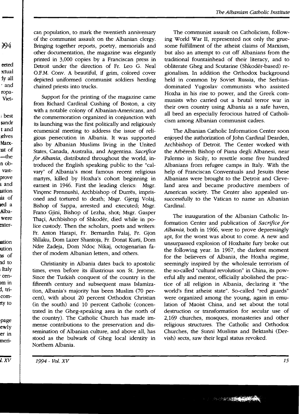994

-

eeted ~tual iyall . and ropa-Viet-

<sup>i</sup>best sandr t and lelves Marx-13.t of -the n obvastprove land iation lia of led a .Albawere ~xter

**lation** IUtion IlS of nd to <sup>I</sup>Italy . cen >m in i, tricomtty to

page ewly er in merican population, to mark the twentieth anniversary of the communist assault on the Albanian clergy. Bringing together reports, poetry, memorials and other documentation, the magazine was elegantly printed in 3,000 copies by a Franciscan press in Detroit under the direction of Fr. Leo G. Neal O.F.M. Conv. A beautiful, if grim, colored cover depicted uniformed communist soldiers herding chained priests into trucks.

Support for the printing of the magazine came from Richard Cardinal Cushing of Boston, a city with a notable colony of Albanian-Americans, and the commemoration organized in conjunction with its launching was the first politically and religiously ecumenical meeting to address the issue of religious persecution in Albania. It was supported also by Albanian Muslims living in the United States, Canada, Australia, and Argentina. *Sacrifice for Albania,* distributed throughout the world, introduced the English speaking public to the "calvary" of Albania's most famous recent religious martyrs, killed by Hoxha's cohort beginning in earnest in 1946. First the leading clerics: Msgr. Vinçenc Prennushi, Archbishop of Durrës, imprisoned and tortured to death; Msgr. Gjergj Volaj, Bishop of Sappa, arrested and executed; Msgr. Frano Gjini, Bishop of Lezha, shot; Msgr. Gasper Thaçi, Archbishop of Shkodër, died while in police custody. Then the scholars, poets and writers: Fr. Anton Harapi, Fr. Bernardin Palaj, Fr. Gjon Shllaku, Dom Lazer Shantoja, Fr. Donat Kurti, Dom Ndre Zadeja, Dom Ndoc Nikaj, octogenarian father of modem Albanian letters, and others.

Christianity in Albania dates back to apostolic times, even before its illustrious son St. Jerome. Since the Turkish conquest of the country in the fifteenth century and subsequent mass Islamization, Albania's majority has been Muslim (70 percent), with about 20 percent Orthodox Christian (in the south) and 10 percent Catholic (concentrated in the Gheg-speaking area in the north of the country). The Catholic Church has made immense contributions to the preservation and dissemination of Albanian culture, and above all, has stood as the bulwark of Gheg local identity in Northern Albania.

The communist assault on Catholicism, following World War II, represented not only the gruesome fulfillment of the atheist claims of Marxism, but also an attempt to cut off Albanians from the traditional fountainhead of their literacy, and to obliterate Gheg and Scutarine (Shkoder-based) regionalism. In addition the Orthodox background held in common by Soviet Russia, the Serbiandominated Yugoslav communists who assisted Hoxha in his rise to power, and the Greek communists who carried out a brutal terror war in their own country using Albania as a safe haven, all bred an especially ferocious hatred of Catholicism among Albanian communist cadres.

The Albanian Catholic Information Center soon enjoyed the authorization of John Cardinal Dearden, Archbishop of Detroit. The Center worked with the Arberesh Bishop of Piana degli Albanesi, near Palermo in Sicily, to resettle some five hundred Albanians from refugee camps in Italy. With the help of Franciscan Conventuals and Jesuits these Albanians were brought to the Detroit and Cleveland area and became productive members of American society. The Center also appealed unsuccessfully to the Vatican to name an Albanian Cardinal.

The inauguration of the Albanian Catholic Information Center and publication of *Sacrifice for Albania,* both in 1966, were to prove depressingly apt, for the worst was about to come. A new and unsurpassed explosion of Hoxhaite fury broke out the following year. In 1967, the darkest moment for the believers of Albania, the Hoxha regime, seemingly inspired by the wholesale terrorism of the so-called "cultural revolution" in China, its powerful ally and mentor, officially abolished the practice of all religion in Albania, declaring it "the world's first atheist state". So-called "red guards" were organized among the young, again in emulation of Maoist China, and set about the total destruction or transformation for secular use of 2,169 churches, mosques, monasteries and other religious structures. The Catholic and Orthodox Churches, the Sunni Muslims and Bektashi (Dervish) sects, saw their legal status revoked.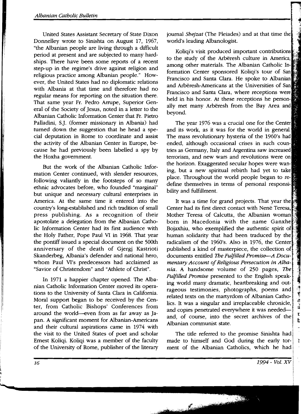United States Assistant Secretary of State Dixon Donnelley wrote to Sinishta on August 17, 1967, "the Albanian people are living through a difficult period at present and are subjected to many hardships. There have been some reports of a recent step-up in the regime's drive against religion and religious practice among Albanian people." However, the United States had no diplomatic relations with Albania at that time and therefore had no regular means for reporting on the situation there. That same year Fr. Pedro Arrupe, Superior General of the Society of Jesus, noted in a letter to the Albanian Catholic Information Center that Fr. Pietro Palladini, S.]. (former missionary in Albania) had turned down the suggestion that he head a special deputation in Rome to coordinate and assist the activity of the Albanian Center in Europe, because he had previously been labelled a spy by the Hoxha government.

But the work of the Albanian Catholic Information Center continued, with slender resources, following valiantly in the footsteps of so many ethnic advocates before, who founded "marginal" but unique and necessary cultural enterprises in America. At the same time it entered into the country's long-established and rich tradition of small press publishing. As a recognition of their apostolate a delegation from the Albanian Catholic Information Center had its first audience with the Holy Father, Pope Paul VI in 1968. That year the pontiff issued a special document on the 500th anniversary of the death of Gjergj Kastrioti Skanderbeg, Albania's defender and national hero, whom Paul VI's predecessors had acclaimed as "Savior of Christendom" and "Athlete of Christ".

In 1971 a happier chapter opened. The Albanian Catholic Information Center moved its operations to the University of Santa Clara in California. Moral support began to be received by the Center, from Catholic Bishops' Conferences from around the world--even from as far away as Japan. A significant moment for Albanian-Americans and their cultural aspirations came in 1974 with the visit to the United States of poet and scholar Ernest Koliqi. Koliqi was a member of the faculty of the University of Rome, publisher of the literary journal *Shejzat* (The Pleiades) and at that time the f world's leading Albanologist.

,j :."J §

Koliqi's visit produced important contributions to the study of the Arbëresh culture in America, among other materials. The Albanian Catholic Information Center sponsored Koliqi's tour of San Francisco and Santa Clara. He spoke to Albanian and Arberesh-Americans at the Universities of San Francisco and Santa Clara, where receptions were held in his honor. At these receptions he personally met many Arbëresh from the Bay Area and beyond.

The year 1976 was a crucial one for the Center and its work, as it was for the world in general. The mass revolutionary hysteria of the 1960's had ended, although occasional crises in such countries as Germany, Italy and Argentina saw increased terrorism, and new wars and revolutions were on the horizon. Exaggerated secular hopes were waning, but a new spiritual rebirth had yet to take place. Throughout the world people began to redefine themselves in terms of personal responsibility and fulfillment.

It was a time for grand projects. That year the Center had its first direct contact with Nenë Teresa, Mother Teresa of Calcutta, the Albanian woman born in Macedonia with the name Ganxhe" Bojaxhiu, who exemplified the authentic spirit of human solidarity that had been traduced by the radicalism of the 1960's. Also in 1976, the Center published a kind of masterpiece, the collection of documents entitled *The Fulfilled Promise-A Docu*mentary Account of Religious Persecution in Alba*nia.* A handsome volume of 250 pages, *The* Fulfilled Promise presented to the English speaking world many dramatic, heartbreaking and outrageous testimonies, photographs, poems and  $\frac{1}{2}$ related texts on the martyrdom of Albanian Catholics. It was a singular and irreplaceable chronicle, **and copies penetrated everywhere it was needed**and, of course, into the secret archives of the Albanian communist state.

The title referred to the promise Sinishta had made to himself and God during the early torment of the Albanian Catholics, which he had

্র<br>''

 $\overline{\phantom{a}}$  $\mathbf{r}$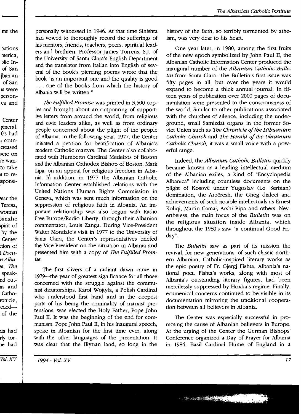me the

Dutions merica, Dlic Inof San Ibanian of San IS were personea and

**Center** reneral. ()'s had l councreased l'ere on re wanto take n to re-:sponsi-

rear the Teresa, woman Ganxhe ;pirit of by the **Center** :tion of 1 Docu*nAlba* ~S, *The*  speaknd outns and Cathoronicle, ~eded of the

rly tor he had

*Vol.* XV

Ita had

personally witnessed in 1946. At that time Sinishta had vowed to thoroughly record the sufferings of his mentors, friends, teachers, peers, spiritual leaders and brethren. Professor James Torrens, SJ. of the University of Santa Clara's English Department and the translator from Italian into English of several of the book's piercing poems wrote that the book "is an important one and the quality is good . . . one of the books from which the history of Albania will be written."

*The Fulfilled Promise* was printed in 3,500 copies and brought about an outpouring of supportive letters from around the world, from religious and civic leaders alike, as well as from ordinary people concerned about the plight of the people of Albania. In the following year, 1977, the Center initiated a petition for beatification of Albania's modem Catholic martyrs. The Center also collaborated with Humberto Cardinal Medeiros of Boston and the Albanian Orthodox Bishop of Boston, Mark Lipa, on an appeal for religious freedom in Albania. In addition, in 1977 the Albanian Catholic Information Center established relations with the United Nations .Human Rights Commission in Geneva, which was sent much information on the suppression of religious faith in Albania. An important relationship was also begun with Radio Free Europe/Radio Liberty, through their Albanian commentator, Louis Zanga. During Vice-President Walter Mondale's visit in 1977 to the University of Santa Clara, the Center's representatives briefed the Vice-President on the situation in Albania and presented him with a copy of *The Fulfilled Prom*ise.

The first slivers of a radiant dawn came in 1979--the year of greatest significance for all those concerned with the struggle against the communist dictatorships. Karol Wojtyla, a Polish Cardinal who understood first hand and in the deepest parts of his being the criminality of marxist pretensions, was elected the Holy Father, Pope John Paul II. It was the beginning of the end for communism. Pope John Paul II, in his inaugural speech, spoke in Albanian for the first time ever, along with the other languages of the presentation. It was clear that the Illyrian land, so long in the history of the faith, so terribly tormented by atheism, was very dear to his heart.

One year later, in 1980, among the first fruits of the new epoch symbolized by John Paul II, the Albanian Catholic Information Center produced the inaugural number of the *Albanian Catholic Bulletin* from Santa Clara. The Bulletin's first issue was fifty pages in all, but over the years it would expand to become a thick annual journal. In fifteen years of publication over 2000 pages of documentation were presented to the consciousness of the world. Similar to other publications associated with the churches of silence, including the underground, small Samizdat organs in the former Soviet Union such as *The Chronicle of the Lithuanian Catholic Church* and *The Herald of the Ukrainian Catholic Church,* it was a small voice with a powerful range.

Indeed, the *Albanian Catholic Bulletin* quickly became known as a leading intellectual medium of the Albanian exiles, a kind of "Encyclopedia Albanica" including countless documents on the plight of Kosovë under Yugoslav (i.e. Serbian) domination, the Arbëresh, the Gheg dialect and achievements of such notable intellectuals as Ernest Koliqi, Martin Camaj, Arshi Pipa and others. Nevertheless, the main focus of the *Bulletin* was on the religious situation inside Albania, which throughout the 1980's saw "a continual Good Friday".

The *Bulletin* saw as part of its mission the revival, for new generations, of such classic northern Albanian, Catholic-inspired literary works as the epic poetry of Fr. Gjergj Fishta, Albania's national poet. Fishta's works, along with most of Albania's outstanding literary figures, had been mercilessly suppressed by Hoxha's regime. Finally, ecumenical concerns continued to be visible in its documentation mirroring the traditional cooperation between all believers in Albania.

The Center was especially successful in promoting the cause of Albanian believers in Europe. At the urging of the Center the German Bishops' Conference organized a Day of Prayer for Albania in 1984. Basil Cardinal Hume of England in a

 $1994$  - Vol. XV  $17$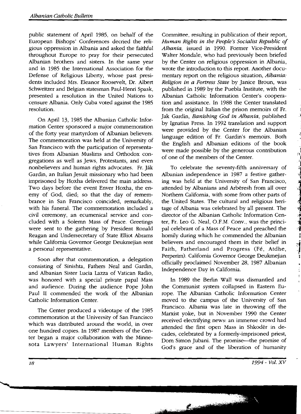public statement of April 1985, on behalf of the European Bishops' Conferences decried the religious oppression in Albania and asked the faithful throughout Europe to pray for their persecuted Albanian brothers and sisters. In the same year and in 1985 the International Association for the Defense of Religious Liberty, whose past presidents included Mrs. Eleanor Roosevelt, Dr. Albert Schweitzer and Belgian statesman Paul-Henri Spaak, presented a resolution in the United Nations to censure Albania. Only Cuba voted against the 1985 resolution.

On April 13, 1985 the Albanian Catholic Information Center sponsored a major commemoration of the forty year martyrdom of Albanian believers. The commemoration was held at the University of San Francisco with the participation of representatives from Albanian Muslims and Orthodox congregations as well as Jews, Protestants, and even nonbelievers and human rights advocates. Fr. Jak Gardin, an Italian Jesuit missionary who had been imprisoned by Hoxha delivered the main address. Two days before the event Enver Hoxha, the enemy of God, died; so that the day of remembrance in San Francisco coincided, remarkably, with his funeral. The commemoration included a civil ceremony, an ecumenical service and concluded with a Solemn Mass of Peace. Greetings were sent to the gathering by President Ronald Reagan and Undersecretary of State Elliot Abrams while California Governor George Deukmejian sent a personal representative.

Soon after that commemoration, a delegation consisting of Sinishta, Fathers Neal and Gardin, and Albanian Sister Lucia Lazza of Vatican Radio, was honored with a special private papal Mass and audience. During the audience Pope John Paul II commended the work of the Albanian Catholic Information Center.

The Center produced a videotape of the 1985 commemoration at the University of San Francisco which was distributed around the world, in over one hundred copies. In 1987 members of the Center began a major collaboration with the Minnesota Lawyers' International Human Rights

Committee, resulting in publication of their report, *Human Rights in the People's Socialist Republic of Albania,* issued in 1990. Former Vice-President Walter Mondale, who had previously been briefed by the Center on religious oppression in Albania, wrote the introduction to this report. Another documentary report on the religious situation, *Albania: Religion in a Fortress State* by Janice Broun, was published in 1989 by the Puebla Institute, with the Albanian Catholic Information Center's cooperation and assistance. In 1988 the Center translated from the original Italian the prison memoirs of Fr. Jak Gardin, *Banishing God in Albania,* published by Ignatius Press. In 1992 translation and support were provided by the Center for the Albanian language edition of Fr. Gardin's memoirs. Both the English and Albanian editions of the book were made possible by the generous contribution of one of the members of the Center.

.,

े<br>ग

**The Books of Contract of Security** 

د.<br>استان د

To celebrate the seventy-fifth anniversary of Albanian independence in 1987 a festive gathering was held at the University of San Francisco, attended by Albanians and Arberesh from all over Northern California, with some from other parts of the United States. The cultural and religious heritage of Albania was celebrated by all present. The director of the Albanian Catholic Information Center, Fr. Leo G. Neal, O.F.M. Conv., was the principal celebrant of a Mass of Peace and preached the homily during which he commended the Albanian believers and encouraged them in their belief in Faith, Fatherland and Progress (Fé, Atdhe, Perperim). California Governor George Deukmejian officially proclaimed November 28, 1987 Albanian Independence Day in California.

In 1989 the Berlin Wall was dismantled and the Communist system collapsed in Eastern Europe. The Albanian Catholic Information Center moved to the campus of the University of San Francisco. Albania was late in throwing off the Marxist yoke, but in November 1990 the Center received electrifying news: an immense crowd had attended the first open Mass in Shkoder in decades, celebrated by a formerly-imprisoned priest, Dom Simon Jubani. The promise--the promise of God's grace and of the liberation of humanity

€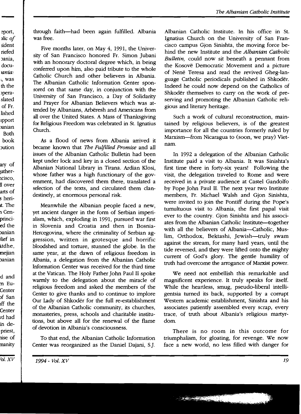eport, *)/ic of*  5ident riefed Jania, docu*lania:*  l, was th the >peraslated of Fr. lished Ipport )anian Both book Jution

ary of :atherlCisco, ll over arts of 5 heri-It. The :1 Cenprincied the Janian ~lief in ltdhe, mejian Janian

d and m Eu-Center )f San )ff the Center rd had in depriest, lise of manity

-------<br><sup>7</sup>ol. X

through faith-had been again fulfilled. Albania was free.

Five months later, on May 4, 1991, the University of San Francisco honored Fr. Simon Jubani with an honorary doctoral degree which, in being conferred upon him, also paid tribute to the whole Catholic Church and other believers in Albania. The Albanian Catholic Information Center sponsored on that same day, in conjunction with the University of San Francisco, a Day of Solidarity and Prayer for Albanian Believers which was attended by Albanians, Arbëresh and Americans from all over the United States. A Mass of Thanksgiving for Religious Freedom was celebrated in St. Ignatius Church.

As a flood of news from Albania arrived it became known that *The Fulfilled Promise* and all issues of the Albanian Catholic Bulletin had been kept under lock and key in a closed section of the Albanian National Library in Tirana. Ardian Klosi, whose father was a high functionary of the government, had discovered them there, translated a selection of the texts, and circulated them clandestinely, at enormous personal risk.

Meanwhile the Albanian people faced a new, yet ancient danger in the form of Serbian imperialism, which, exploding in 1991, pursued war first in Slovenia and Croatia and then in Bosnia-Hercegovina, where the criminality of Serbian aggression, written in grotesque and horrific bloodshed and torture, stunned the globe. In the same year, at the dawn of religious freedom in Albania, a delegation from the Albanian Catholic Information Center was received for the third time at the Vatican. The Holy Father John Paul II spoke warmly to the delegation about the miracle of religious freedom and asked the members of the Center to give thanks and to continue to implore Our Lady of Shkoder for the full re-establishment of the Albanian Catholic community, its churches, monasteries, press, schools and charitable institutions, but above all for the renewal of the flame of devotion in Albania's consciousness.

To that end, the Albanian Catholic Information Center was reorganized as the Daniel Dajani, S.]. Albanian Catholic Institute. In his office in St. Ignatius Church on the University of San Francisco campus Gjon Sinishta, the moving force behind the new Institute and the *Albanian Catholic Bulletin,* could now sit beneath a pennant from the Kosove Democratic Movement and a picture of Nene Teresa and read the revived Gheg-Ianguage Catholic periodicals published in Shkoder. Indeed he could now depend on the Catholics of Shkoder themselves to carry on the work of preserving and promoting the Albanian Catholic religious and literary heritage.

Such a work of cultural reconstruction, maintained by religious believers, is of the greatest importance for all the countries formerly ruled by Marxism-from Nicaragua to (soon, we pray) Vietnam.

In 1992 a delegation of the Albanian Catholic Institute paid a visit to Albania. It was Sinishta's first time there in forty-six years! Following the visit, the delegation traveled to Rome and were received in a private audience at Castel Gandolfo by Pope John Paul II. The next year two Institute members, Fr. Michael Walsh and Gjon Sinishta, were invited to join the Pontiff during the Pope's tumultuous visit to Albania, the first papal visit ever to the country. Gjon Sinishta and his associates from the Albanian Catholic Institute—together with all the believers of Albania-Catholic, Muslim, Orthodox, Bektashi, Jewish-truly swam against the stream, for many hard years, until the tide reversed, and they were lifted onto the mighty current of God's glory. The gentle humility of truth had overcome the arrogance of Marxist power.

We need not embellish this remarkable and magnificent experience. It truly speaks for itself. While the heartless, smug, pseudo-liberal intelligentsia turned its back, supported by a corrupt Western academic establishment, Sinishta and his associates patiently assembled every scrap, every trace, of truth about Albania's religious martyrdom.

There is no room in this outcome for triumphalism, for gloating, for revenge. We now face a new world, no less filled with danger for